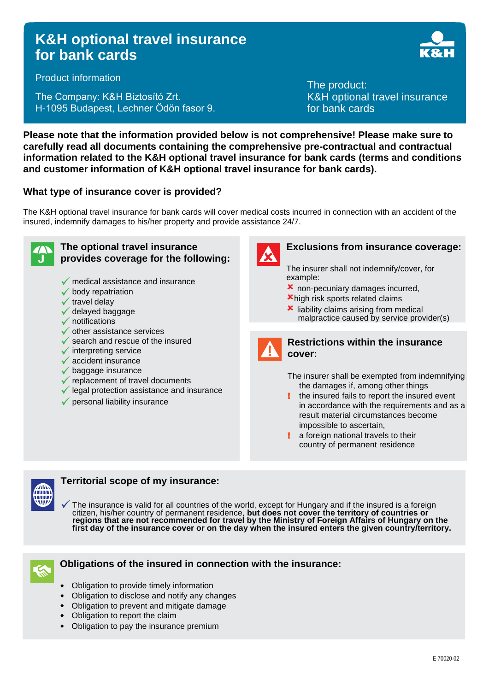# **K&H optional travel insurance for bank cards**



Product information

The Company: K&H Biztosító Zrt. H-1095 Budapest, Lechner Ödön fasor 9. The product: K&H optional travel insurance for bank cards

**Please note that the information provided below is not comprehensive! Please make sure to carefully read all documents containing the comprehensive pre-contractual and contractual information related to the K&H optional travel insurance for bank cards (terms and conditions and customer information of K&H optional travel insurance for bank cards).**

# **What type of insurance cover is provided?**

The K&H optional travel insurance for bank cards will cover medical costs incurred in connection with an accident of the insured, indemnify damages to his/her property and provide assistance 24/7.



#### **The optional travel insurance provides coverage for the following:**

- $\sqrt{\ }$  medical assistance and insurance
- $\checkmark$  body repatriation
- $\checkmark$  travel delav
- ✓ delayed baggage
- $\checkmark$  notifications
- $\checkmark$  other assistance services
- $\checkmark$  search and rescue of the insured
- $\checkmark$  interpreting service
- $\sqrt{\ }$  accident insurance
- $\sqrt{\ }$  baggage insurance
- $\checkmark$  replacement of travel documents
- $\checkmark$  legal protection assistance and insurance
- $\checkmark$  personal liability insurance



## **Exclusions from insurance coverage:**

The insurer shall not indemnify/cover, for example:

- non-pecuniary damages incurred,
- high risk sports related claims
- **x** liability claims arising from medical malpractice caused by service provider(s)



## **Restrictions within the insurance cover:**

The insurer shall be exempted from indemnifying the damages if, among other things

- the insured fails to report the insured event in accordance with the requirements and as a result material circumstances become impossible to ascertain,
- a foreign national travels to their country of permanent residence



## **Territorial scope of my insurance:**

The insurance is valid for all countries of the world, except for Hungary and if the insured is a foreign citizen, his/her country of permanent residence, **but does not cover the territory of countries or regions that are not recommended for travel by the Ministry of Foreign Affairs of Hungary on the first day of the insurance cover or on the day when the insured enters the given country/territory.**



## **Obligations of the insured in connection with the insurance:**

- Obligation to provide timely information
- Obligation to disclose and notify any changes
- Obligation to prevent and mitigate damage
- Obligation to report the claim
- Obligation to pay the insurance premium